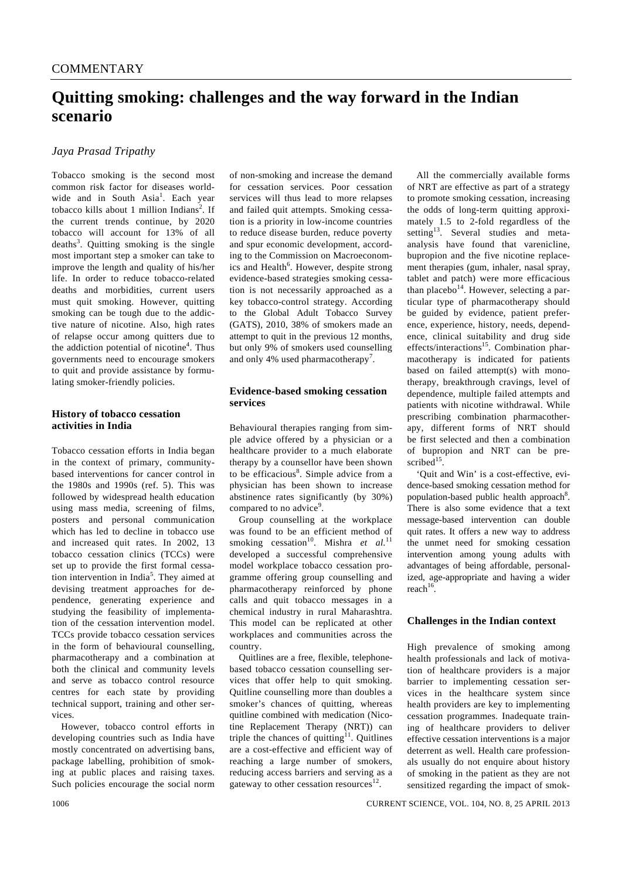# **Quitting smoking: challenges and the way forward in the Indian scenario**

# *Jaya Prasad Tripathy*

Tobacco smoking is the second most common risk factor for diseases worldwide and in South Asia<sup>1</sup>. Each year tobacco kills about 1 million Indians<sup>2</sup>. If the current trends continue, by 2020 tobacco will account for 13% of all deaths<sup>3</sup>. Quitting smoking is the single most important step a smoker can take to improve the length and quality of his/her life. In order to reduce tobacco-related deaths and morbidities, current users must quit smoking. However, quitting smoking can be tough due to the addictive nature of nicotine. Also, high rates of relapse occur among quitters due to the addiction potential of nicotine<sup>4</sup>. Thus governments need to encourage smokers to quit and provide assistance by formulating smoker-friendly policies.

#### **History of tobacco cessation activities in India**

Tobacco cessation efforts in India began in the context of primary, communitybased interventions for cancer control in the 1980s and 1990s (ref. 5). This was followed by widespread health education using mass media, screening of films, posters and personal communication which has led to decline in tobacco use and increased quit rates. In 2002, 13 tobacco cessation clinics (TCCs) were set up to provide the first formal cessation intervention in India<sup>5</sup>. They aimed at devising treatment approaches for dependence, generating experience and studying the feasibility of implementation of the cessation intervention model. TCCs provide tobacco cessation services in the form of behavioural counselling, pharmacotherapy and a combination at both the clinical and community levels and serve as tobacco control resource centres for each state by providing technical support, training and other services.

 However, tobacco control efforts in developing countries such as India have mostly concentrated on advertising bans, package labelling, prohibition of smoking at public places and raising taxes. Such policies encourage the social norm

of non-smoking and increase the demand for cessation services. Poor cessation services will thus lead to more relapses and failed quit attempts. Smoking cessation is a priority in low-income countries to reduce disease burden, reduce poverty and spur economic development, according to the Commission on Macroeconomics and Health<sup>6</sup>. However, despite strong evidence-based strategies smoking cessation is not necessarily approached as a key tobacco-control strategy. According to the Global Adult Tobacco Survey (GATS), 2010, 38% of smokers made an attempt to quit in the previous 12 months, but only 9% of smokers used counselling and only 4% used pharmacotherapy<sup>7</sup>.

## **Evidence-based smoking cessation services**

Behavioural therapies ranging from simple advice offered by a physician or a healthcare provider to a much elaborate therapy by a counsellor have been shown to be efficacious<sup>8</sup>. Simple advice from a physician has been shown to increase abstinence rates significantly (by 30%) compared to no advice<sup>9</sup>.

 Group counselling at the workplace was found to be an efficient method of smoking cessation<sup>10</sup>. Mishra *et al.*<sup>11</sup> developed a successful comprehensive model workplace tobacco cessation programme offering group counselling and pharmacotherapy reinforced by phone calls and quit tobacco messages in a chemical industry in rural Maharashtra. This model can be replicated at other workplaces and communities across the country.

 Quitlines are a free, flexible, telephonebased tobacco cessation counselling services that offer help to quit smoking. Quitline counselling more than doubles a smoker's chances of quitting, whereas quitline combined with medication (Nicotine Replacement Therapy (NRT)) can triple the chances of quitting<sup>11</sup>. Quitlines are a cost-effective and efficient way of reaching a large number of smokers, reducing access barriers and serving as a gateway to other cessation resources $^{12}$ .

 All the commercially available forms of NRT are effective as part of a strategy to promote smoking cessation, increasing the odds of long-term quitting approximately 1.5 to 2-fold regardless of the setting<sup>13</sup>. Several studies and metaanalysis have found that varenicline, bupropion and the five nicotine replacement therapies (gum, inhaler, nasal spray, tablet and patch) were more efficacious than placebo $14$ . However, selecting a particular type of pharmacotherapy should be guided by evidence, patient preference, experience, history, needs, dependence, clinical suitability and drug side effects/interactions<sup>15</sup>. Combination pharmacotherapy is indicated for patients based on failed attempt(s) with monotherapy, breakthrough cravings, level of dependence, multiple failed attempts and patients with nicotine withdrawal. While prescribing combination pharmacotherapy, different forms of NRT should be first selected and then a combination of bupropion and NRT can be prescribed<sup>15</sup>.

 'Quit and Win' is a cost-effective, evidence-based smoking cessation method for population-based public health approach<sup>8</sup>. There is also some evidence that a text message-based intervention can double quit rates. It offers a new way to address the unmet need for smoking cessation intervention among young adults with advantages of being affordable, personalized, age-appropriate and having a wider  $reach<sup>16</sup>$ .

### **Challenges in the Indian context**

High prevalence of smoking among health professionals and lack of motivation of healthcare providers is a major barrier to implementing cessation services in the healthcare system since health providers are key to implementing cessation programmes. Inadequate training of healthcare providers to deliver effective cessation interventions is a major deterrent as well. Health care professionals usually do not enquire about history of smoking in the patient as they are not sensitized regarding the impact of smok-

1006 CURRENT SCIENCE, VOL. 104, NO. 8, 25 APRIL 2013